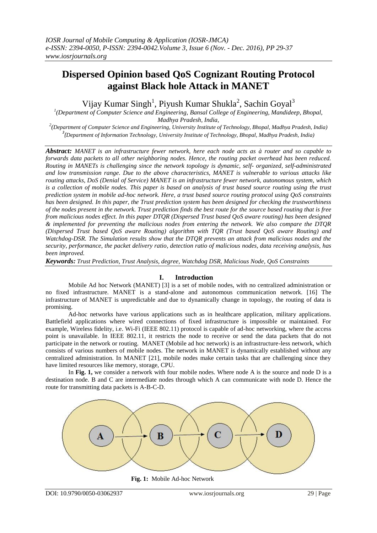# **Dispersed Opinion based QoS Cognizant Routing Protocol against Black hole Attack in MANET**

Vijay Kumar Singh<sup>1</sup>, Piyush Kumar Shukla<sup>2</sup>, Sachin Goyal<sup>3</sup>

*1 (Department of Computer Science and Engineering, Bansal College of Engineering, Mandideep, Bhopal, Madhya Pradesh, India,* 

*2 (Department of Computer Science and Engineering, University Institute of Technology, Bhopal, Madhya Pradesh, India) 3 (Department of Information Technology, University Institute of Technology, Bhopal, Madhya Pradesh, India)*

*Abstract: MANET is an infrastructure fewer network, here each node acts as à router and so capable to forwards data packets to all other neighboring nodes. Hence, the routing packet overhead has been reduced. Routing in MANETs is challenging since the network topology is dynamic, self- organized, self-administrated and low transmission range. Due to the above characteristics, MANET is vulnerable to various attacks like routing attacks, DoS (Denial of Service) MANET is an infrastructure fewer network, autonomous system, which is a collection of mobile nodes. This paper is based on analysis of trust based source routing using the trust prediction system in mobile ad-hoc network. Here, a trust based source routing protocol using QoS constraints has been designed. In this paper, the Trust prediction system has been designed for checking the trustworthiness of the nodes present in the network. Trust prediction finds the best route for the source based routing that is free from malicious nodes effect. In this paper DTQR (Dispersed Trust based QoS aware routing) has been designed & implemented for preventing the malicious nodes from entering the network. We also compare the DTQR (Dispersed Trust based QoS aware Routing) algorithm with TQR (Trust based QoS aware Routing) and Watchdog-DSR. The Simulation results show that the DTQR prevents an attack from malicious nodes and the security, performance, the packet delivery ratio, detection ratio of malicious nodes, data receiving analysis, has been improved.*

*Keywords: Trust Prediction, Trust Analysis, degree, Watchdog DSR, Malicious Node, QoS Constraints*

#### **I. Introduction**

Mobile Ad hoc Network (MANET) [3] is a set of mobile nodes, with no centralized administration or no fixed infrastructure. MANET is a stand-alone and autonomous communication network. [16] The infrastructure of MANET is unpredictable and due to dynamically change in topology, the routing of data is promising.

Ad-hoc networks have various applications such as in healthcare application, military applications. Battlefield applications where wired connections of fixed infrastructure is impossible or maintained. For example, Wireless fidelity, i.e. Wi-Fi (IEEE 802.11) protocol is capable of ad-hoc networking, where the access point is unavailable. In IEEE 802.11, it restricts the node to receive or send the data packets that do not participate in the network or routing. MANET (Mobile ad hoc network) is an infrastructure-less network, which consists of various numbers of mobile nodes. The network in MANET is dynamically established without any centralized administration. In MANET [21], mobile nodes make certain tasks that are challenging since they have limited resources like memory, storage, CPU.

In **Fig. 1,** we consider a network with four mobile nodes. Where node A is the source and node D is a destination node. B and C are intermediate nodes through which A can communicate with node D. Hence the route for transmitting data packets is A-B-C-D.



 **Fig. 1:** Mobile Ad-hoc Network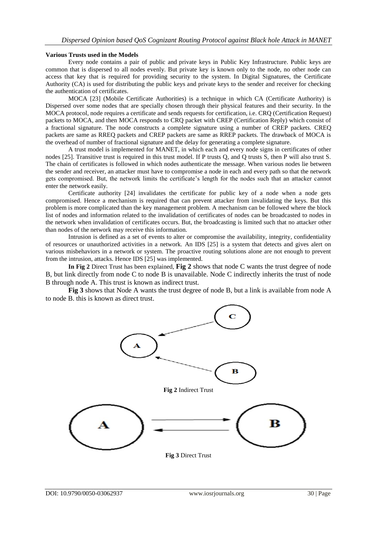### **Various Trusts used in the Models**

Every node contains a pair of public and private keys in Public Key Infrastructure. Public keys are common that is dispersed to all nodes evenly. But private key is known only to the node, no other node can access that key that is required for providing security to the system. In Digital Signatures, the Certificate Authority (CA) is used for distributing the public keys and private keys to the sender and receiver for checking the authentication of certificates.

MOCA [23] (Mobile Certificate Authorities) is a technique in which CA (Certificate Authority) is Dispersed over some nodes that are specially chosen through their physical features and their security. In the MOCA protocol, node requires a certificate and sends requests for certification, i.e. CRQ (Certification Request) packets to MOCA, and then MOCA responds to CRQ packet with CREP (Certification Reply) which consist of a fractional signature. The node constructs a complete signature using a number of CREP packets. CREQ packets are same as RREQ packets and CREP packets are same as RREP packets. The drawback of MOCA is the overhead of number of fractional signature and the delay for generating a complete signature.

A trust model is implemented for MANET, in which each and every node signs in certificates of other nodes [25]. Transitive trust is required in this trust model. If P trusts Q, and Q trusts S, then P will also trust S. The chain of certificates is followed in which nodes authenticate the message. When various nodes lie between the sender and receiver, an attacker must have to compromise a node in each and every path so that the network gets compromised. But, the network limits the certificate's length for the nodes such that an attacker cannot enter the network easily.

Certificate authority [24] invalidates the certificate for public key of a node when a node gets compromised. Hence a mechanism is required that can prevent attacker from invalidating the keys. But this problem is more complicated than the key management problem. A mechanism can be followed where the block list of nodes and information related to the invalidation of certificates of nodes can be broadcasted to nodes in the network when invalidation of certificates occurs. But, the broadcasting is limited such that no attacker other than nodes of the network may receive this information.

Intrusion is defined as a set of events to alter or compromise the availability, integrity, confidentiality of resources or unauthorized activities in a network. An IDS [25] is a system that detects and gives alert on various misbehaviors in a network or system. The proactive routing solutions alone are not enough to prevent from the intrusion, attacks. Hence IDS [25] was implemented.

**In Fig 2** Direct Trust has been explained, **Fig 2** shows that node C wants the trust degree of node B, but link directly from node C to node B is unavailable. Node C indirectly inherits the trust of node B through node A. This trust is known as indirect trust.

**Fig 3** shows that Node A wants the trust degree of node B, but a link is available from node A to node B. this is known as direct trust.

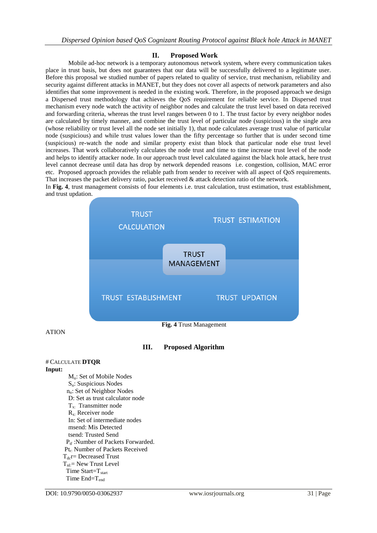## **II. Proposed Work**

Mobile ad-hoc network is a temporary autonomous network system, where every communication takes place in trust basis, but does not guarantees that our data will be successfully delivered to a legitimate user. Before this proposal we studied number of papers related to quality of service, trust mechanism, reliability and security against different attacks in MANET, but they does not cover all aspects of network parameters and also identifies that some improvement is needed in the existing work. Therefore, in the proposed approach we design a Dispersed trust methodology that achieves the QoS requirement for reliable service. In Dispersed trust mechanism every node watch the activity of neighbor nodes and calculate the trust level based on data received and forwarding criteria, whereas the trust level ranges between 0 to 1. The trust factor by every neighbor nodes are calculated by timely manner, and combine the trust level of particular node (suspicious) in the single area (whose reliability or trust level all the node set initially 1), that node calculates average trust value of particular node (suspicious) and while trust values lower than the fifty percentage so further that is under second time (suspicious) re-watch the node and similar property exist than block that particular node else trust level increases. That work collaboratively calculates the node trust and time to time increase trust level of the node and helps to identify attacker node. In our approach trust level calculated against the black hole attack, here trust level cannot decrease until data has drop by network depended reasons i.e. congestion, collision, MAC error etc. Proposed approach provides the reliable path from sender to receiver with all aspect of QoS requirements. That increases the packet delivery ratio, packet received & attack detection ratio of the network.

In **Fig. 4**, trust management consists of four elements i.e. trust calculation, trust estimation, trust establishment, and trust updation.



ATION

# **III. Proposed Algorithm**

#### # CALCULATE **DTQR Input:**

Mn: Set of Mobile Nodes Sn: Suspicious Nodes n<sub>n</sub>: Set of Neighbor Nodes D: Set as trust calculator node Tx: Transmitter node  $R_{x}$ : Receiver node In: Set of intermediate nodes msend: Mis Detected tsend: Trusted Send P<sub>tf</sub>: Number of Packets Forwarded. Pt<sub>r</sub>: Number of Packets Received  $T_{dc}$ r= Decreased Trust  $T_{nl}$ : New Trust Level Time Start= $T_{start}$ Time  $End=T_{end}$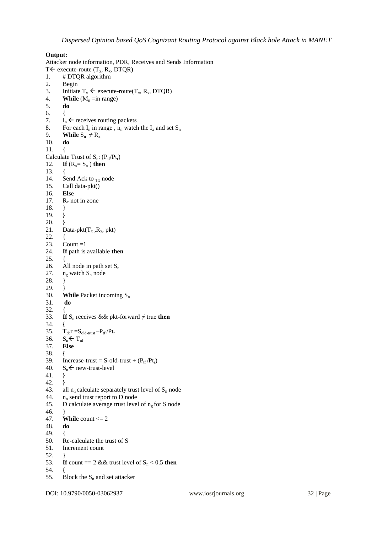# **Output:**

Attacker node information, PDR, Receives and Sends Information  $T \leftarrow$  execute-route  $(T_x, R_x, DTQR)$ 1. # DTQR algorithm 2. Begin 3. Initiate  $T_x \leftarrow \text{execute-route}(T_x, R_x, DTQR)$ <br>4. **While** ( $M_n = \text{in range}$ ) **While** ( $M_n = in range$ ) 5. **do**  6. { 7.  $I_n \leftarrow$  receives routing packets<br>8. For each  $I_n$  in range,  $n_n$  watch 8. For each  $I_n$  in range,  $n_n$  watch the  $I_x$  and set  $S_n$ <br>9. While  $S_n \neq R_x$ **While**  $S_n \neq R_x$  **do** 10. **do** 11. { Calculate Trust of  $S_n$ :  $(P_{tf}/Pt_r)$ <br>12. **If**  $(R_r = S_n)$  **then** If  $(R_x = S_n)$  then  $13.14.$ 14. Send Ack to  $_{Tx}$  node<br>15. Call data-pkt() Call data-pkt() 16. **Else** 17.  $R_x$  not in zone 18. } 19. **}** 20. **}** 21. Data-pkt $(T_x, R_x, \text{pkt})$ 22. { 23. Count = $1$ 24. **If** path is available **then** 25. { 26. All node in path set  $S_n$ <br>27.  $n_g$  watch  $S_n$  node  $n_g$  watch  $S_n$  node 28. } 29.  $\{30.}$ **While** Packet incoming S<sub>n</sub> **do** 31. **do**  $32.33.$ **If**  $S_n$  receives && pkt-forward  $\neq$  true **then** 34. **{** 35.  $T_{dc}r = S_{old-trust} - P_{tf}/Pt_r$ <br>36.  $S_n \leftarrow T_{nl}$  $S_n \leftarrow T_{nl}$ 37. **Else**  38. **{** 39. Increase-trust = S-old-trust + ( $P_{tf}/Pt_r$ )<br>40.  $S_n \leftarrow$  new-trust-level  $S_n$   $\leftarrow$  new-trust-level 41. **}** 42. **}** 43. all  $n_n$  calculate separately trust level of  $S_n$  node 44.  $n_n$  send trust report to D node<br>45. D calculate average trust leve D calculate average trust level of  $n_g$  for S node 46. } 47. **While** count <= 2 48. **do** 49. { 50. Re-calculate the trust of S 51. Increment count 52. } 53. **If** count  $= 2 \&&$  trust level of  $S_n < 0.5$  then 54. **{** 55. Block the  $S_n$  and set attacker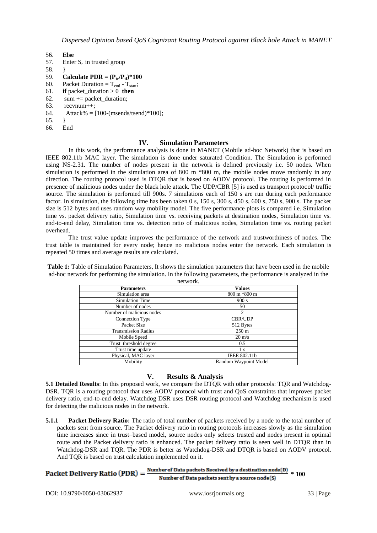56. **Else**

- Enter  $S_n$  in trusted group
- 58. }
- 59. **Calculate PDR =**  $(P_{tr}/P_{tr})*100$ <br>60. Packet Duration =  $T_{end}$   $T_{start}$ ;
- Packet Duration =  $T_{end}$   $T_{start}$ ;
- 61. **if** packet\_duration > 0 **then**
- 62. sum  $+=$  packet\_duration;
- 63. recvnum++;
- 64. Attack% =  $[100-(\text{msends/tsend})*100]$ ;
- 65. }
- 66. End

## **IV. Simulation Parameters**

In this work, the performance analysis is done in MANET (Mobile ad-hoc Network) that is based on IEEE 802.11b MAC layer. The simulation is done under saturated Condition. The Simulation is performed using NS-2.31. The number of nodes present in the network is defined previously i.e. 50 nodes. When simulation is performed in the simulation area of 800 m  $*800$  m, the mobile nodes move randomly in any direction. The routing protocol used is DTQR that is based on AODV protocol. The routing is performed in presence of malicious nodes under the black hole attack. The UDP/CBR [5] is used as transport protocol/ traffic source. The simulation is performed till 900s. 7 simulations each of 150 s are run during each performance factor. In simulation, the following time has been taken 0 s, 150 s, 300 s, 450 s, 600 s, 750 s, 900 s. The packet size is 512 bytes and uses random way mobility model. The five performance plots is compared i.e. Simulation time vs. packet delivery ratio, Simulation time vs. receiving packets at destination nodes, Simulation time vs. end-to-end delay, Simulation time vs. detection ratio of malicious nodes, Simulation time vs. routing packet overhead.

The trust value update improves the performance of the network and trustworthiness of nodes. The trust table is maintained for every node; hence no malicious nodes enter the network. Each simulation is repeated 50 times and average results are calculated.

**Table 1:** Table of Simulation Parameters, It shows the simulation parameters that have been used in the mobile ad-hoc network for performing the simulation. In the following parameters, the performance is analyzed in the network.

| IIU WULA.             |  |  |  |  |
|-----------------------|--|--|--|--|
| <b>Values</b>         |  |  |  |  |
| 800 m *800 m          |  |  |  |  |
| 900 s                 |  |  |  |  |
| 50                    |  |  |  |  |
| 2                     |  |  |  |  |
| CBR/UDP               |  |  |  |  |
| 512 Bytes             |  |  |  |  |
| $250 \text{ m}$       |  |  |  |  |
| $20 \text{ m/s}$      |  |  |  |  |
| 0.5                   |  |  |  |  |
| 1 s                   |  |  |  |  |
| IEEE 802.11b          |  |  |  |  |
| Random Waypoint Model |  |  |  |  |
|                       |  |  |  |  |

# **V. Results & Analysis**

**5.1 Detailed Results**: In this proposed work, we compare the DTQR with other protocols: TQR and Watchdog-DSR. TQR is a routing protocol that uses AODV protocol with trust and QoS constraints that improves packet delivery ratio, end-to-end delay. Watchdog DSR uses DSR routing protocol and Watchdog mechanism is used for detecting the malicious nodes in the network.

**5.1.1 Packet Delivery Ratio:** The ratio of total number of packets received by a node to the total number of packets sent from source. The Packet delivery ratio in routing protocols increases slowly as the simulation time increases since in trust–based model, source nodes only selects trusted and nodes present in optimal route and the Packet delivery ratio is enhanced. The packet delivery ratio is seen well in DTQR than in Watchdog-DSR and TQR. The PDR is better as Watchdog-DSR and DTQR is based on AODV protocol. And TQR is based on trust calculation implemented on it.

Packet Delivery Ratio  $(PDR) = \frac{Number of Data packets Received by a destination node(D)}{100} * 100$ Number of Data packets sent by a source node(S)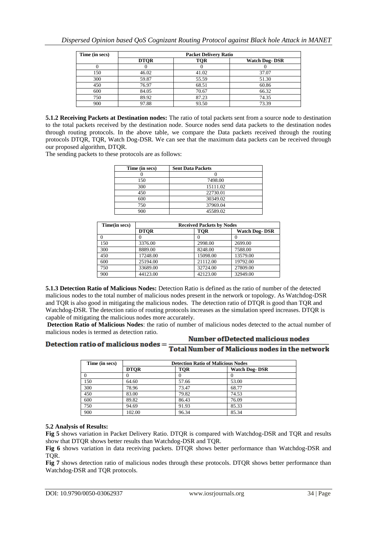| Time (in secs) | <b>Packet Delivery Ratio</b> |            |                       |
|----------------|------------------------------|------------|-----------------------|
|                | <b>DTOR</b>                  | <b>TOR</b> | <b>Watch Dog- DSR</b> |
|                |                              |            |                       |
| 150            | 46.02                        | 41.02      | 37.07                 |
| 300            | 59.87                        | 55.59      | 51.30                 |
| 450            | 76.97                        | 68.51      | 60.86                 |
| 600            | 84.05                        | 70.67      | 66.32                 |
| 750            | 89.92                        | 87.23      | 74.35                 |
| 900            | 97.88                        | 93.50      | 73.39                 |

**5.1.2 Receiving Packets at Destination nodes:** The ratio of total packets sent from a source node to destination to the total packets received by the destination node. Source nodes send data packets to the destination nodes through routing protocols. In the above table, we compare the Data packets received through the routing protocols DTQR, TQR, Watch Dog-DSR. We can see that the maximum data packets can be received through our proposed algorithm, DTQR.

The sending packets to these protocols are as follows:

| Time (in secs) | <b>Sent Data Packets</b> |
|----------------|--------------------------|
|                |                          |
| 150            | 7498.00                  |
| 300            | 15111.02                 |
| 450            | 22730.01                 |
| 600            | 30349.02                 |
| 750            | 37969.04                 |
| 900            | 45589.02                 |

| Time(in secs) | <b>Received Packets by Nodes</b> |            |                      |
|---------------|----------------------------------|------------|----------------------|
|               | <b>DTOR</b>                      | <b>TOR</b> | <b>Watch Dog-DSR</b> |
|               |                                  |            |                      |
| 150           | 3376.00                          | 2998.00    | 2699.00              |
| 300           | 8889.00                          | 8248.00    | 7588.00              |
| 450           | 17248.00                         | 15098.00   | 13579.00             |
| 600           | 25194.00                         | 21112.00   | 19792.00             |
| 750           | 33689.00                         | 32724.00   | 27809.00             |
| 900           | 44123.00                         | 42123.00   | 32949.00             |

**5.1.3 Detection Ratio of Malicious Nodes:** Detection Ratio is defined as the ratio of number of the detected malicious nodes to the total number of malicious nodes present in the network or topology. As Watchdog-DSR and TQR is also good in mitigating the malicious nodes. The detection ratio of DTQR is good than TQR and Watchdog-DSR. The detection ratio of routing protocols increases as the simulation speed increases. DTQR is capable of mitigating the malicious nodes more accurately.

**Detection Ratio of Malicious Nodes**: the ratio of number of malicious nodes detected to the actual number of malicious nodes is termed as detection ratio.

# **Number of Detected malicious nodes**

Detection ratio of malicious nodes = **Total Number of Malicious nodes in the network** 

| Time (in secs) | <b>Detection Ratio of Malicious Nodes</b> |            |                       |
|----------------|-------------------------------------------|------------|-----------------------|
|                | <b>DTOR</b>                               | <b>TOR</b> | <b>Watch Dog- DSR</b> |
|                |                                           |            |                       |
| 150            | 64.60                                     | 57.66      | 53.00                 |
| 300            | 78.96                                     | 73.47      | 68.77                 |
| 450            | 83.00                                     | 79.82      | 74.53                 |
| 600            | 89.82                                     | 86.43      | 76.09                 |
| 750            | 94.69                                     | 91.93      | 85.33                 |
| 900            | 102.00                                    | 96.34      | 85.34                 |

# **5.2 Analysis of Results:**

**Fig 5** shows variation in Packet Delivery Ratio. DTQR is compared with Watchdog-DSR and TQR and results show that DTQR shows better results than Watchdog-DSR and TQR.

**Fig 6** shows variation in data receiving packets. DTQR shows better performance than Watchdog-DSR and TQR.

**Fig 7** shows detection ratio of malicious nodes through these protocols. DTQR shows better performance than Watchdog-DSR and TQR protocols.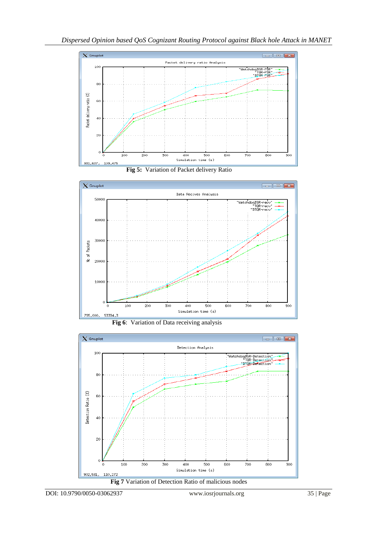









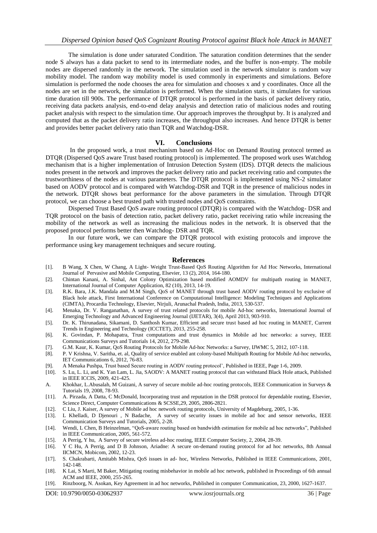The simulation is done under saturated Condition. The saturation condition determines that the sender node S always has a data packet to send to its intermediate nodes, and the buffer is non-empty. The mobile nodes are dispersed randomly in the network. The simulation used in the network simulator is random way mobility model. The random way mobility model is used commonly in experiments and simulations. Before simulation is performed the node chooses the area for simulation and chooses x and y coordinates. Once all the nodes are set in the network, the simulation is performed. When the simulation starts, it simulates for various time duration till 900s. The performance of DTQR protocol is performed in the basis of packet delivery ratio, receiving data packets analysis, end-to-end delay analysis and detection ratio of malicious nodes and routing packet analysis with respect to the simulation time. Our approach improves the throughput by. It is analyzed and computed that as the packet delivery ratio increases, the throughput also increases. And hence DTQR is better and provides better packet delivery ratio than TQR and Watchdog-DSR.

#### **VI. Conclusions**

In the proposed work, a trust mechanism based on Ad-Hoc on Demand Routing protocol termed as DTQR (Dispersed QoS aware Trust based routing protocol) is implemented. The proposed work uses Watchdog mechanism that is a higher implementation of Intrusion Detection System (IDS). DTQR detects the malicious nodes present in the network and improves the packet delivery ratio and packet receiving ratio and computes the trustworthiness of the nodes at various parameters. The DTQR protocol is implemented using NS-2 simulator based on AODV protocol and is compared with Watchdog-DSR and TQR in the presence of malicious nodes in the network. DTQR shows beat performance for the above parameters in the simulation. Through DTQR protocol, we can choose a best trusted path with trusted nodes and QoS constraints.

Dispersed Trust Based QoS aware routing protocol (DTQR) is compared with the Watchdog- DSR and TQR protocol on the basis of detection ratio, packet delivery ratio, packet receiving ratio while increasing the mobility of the network as well as increasing the malicious nodes in the network. It is observed that the proposed protocol performs better then Watchdog- DSR and TQR.

In our future work, we can compare the DTQR protocol with existing protocols and improve the performance using key management techniques and secure routing.

#### **References**

- [1]. B Wang, X Chen, W Chang, A Light- Weight Trust-Based QoS Routing Algorithm for Ad Hoc Networks, International Journal of Pervasive and Mobile Computing, Elsevier, 13 (2), 2014, 164-180.
- [2]. Chintan Kanani, A. Sinhal, Ant Colony Optimization based modified AOMDV for multipath routing in MANET, International Journal of Computer Application, 82 (10), 2013, 14-19.
- [3]. R.K. Bara, J.K. Mandala and M.M Singh, QoS of MANET through trust based AODV routing protocol by exclusive of Black hole attack, First International Conference on Computational Intelligence: Modeling Techniques and Applications (CIMTA), Procardia Technology, Elsevier, Nirjuli, Arunachal Pradesh, India, 2013, 530-537.
- [4]. Menaka, Dr. V. Ranganathan, A survey of trust related protocols for mobile Ad-hoc networks, International Journal of Emerging Technology and Advanced Engineering Journal (IJETAR), 3(4), April 2013, 903-910.
- [5]. Dr. K. Thirunadana, Sikamani, D. Santhosh Kumar, Efficient and secure trust based ad hoc routing in MANET, Current Trends in Engineering and Technology (ICCTET), 2013, 255-258.
- [6]. K. Govindan, P. Mohapatra, Trust computations and trust dynamics in Mobile ad hoc networks: a survey, IEEE Communications Surveys and Tutorials 14, 2012, 279-298.
- [7]. G.M. Kaur, K. Kumar, QoS Routing Protocols for Mobile Ad-hoc Networks: a Survey, IJWMC 5, 2012, 107-118.
- [8]. P. V Krishna, V. Saritha, et. al, Quality of service enabled ant colony-based Multipath Routing for Mobile Ad-hoc networks, IET Communications 6, 2012, 76-83.
- [9]. A Menaka Pushpa, Trust based Secure routing in AODV routing protocol', Published in IEEE, Page 1-6, 2009. [10]. S. Lu, L. Li, and K. Yan Lam, L. Jia, SAODV: A MANET routing protocol that can withstand Black Hole atta
- [10]. S. Lu, L. Li, and K. Yan Lam, L. Jia, SAODV: A MANET routing protocol that can withstand Black Hole attack, Published in IEEE ICCIS, 2009, 421-425.
- A. Khokhar, L.Abusalah, M Guizani, A survey of secure mobile ad-hoc routing protocols, IEEE Communication in Surveys & Tutorials 19, 2008, 78-93.
- [11]. A. Pirzada, A Datta, C McDonald, Incorporating trust and reputation in the DSR protocol for dependable routing, Elsevier, Science Direct, Computer Communications & SCSSE,29, 2005, 2806-2821.
- [12]. C Liu, J. Kaiser, A survey of Mobile ad hoc network routing protocols, University of Magdeburg, 2005, 1-36.
- [13]. L Khelladi, D Djenouri , N Badache, A survey of security issues in mobile ad hoc and sensor networks, IEEE Communication Surveys and Tutorials, 2005, 2-28.
- [14]. Wendi, L Chen, B Heinzelman, "QoS-aware routing based on bandwidth estimation for mobile ad hoc networks", Published in IEEE Communication, 2005, 561-572.
- [15]. A Perrig, Y hu, A Survey of secure wireless ad-hoc routing, IEEE Computer Society, 2, 2004, 28-39.
- [16]. Y C Hu, A Perrig, and D B Johnson, Ariadne: A secure on-demand routing protocol for ad hoc networks, 8th Annual IICMCN, Mobicom, 2002, 12-23.
- [17]. S. Chakrabarti, Amitabh Mishra, QoS issues in ad- hoc, Wireless Networks, Published in IEEE Communications, 2001, 142-148.
- [18]. K Lai, S Marti, M Baker, Mitigating routing misbehavior in mobile ad hoc network, published in Proceedings of 6th annual ACM and IEEE, 2000, 255-265.
- [19]. Rinzboorg, N. Asokan, Key Agreement in ad hoc networks, Published in computer Communication, 23, 2000, 1627-1637.